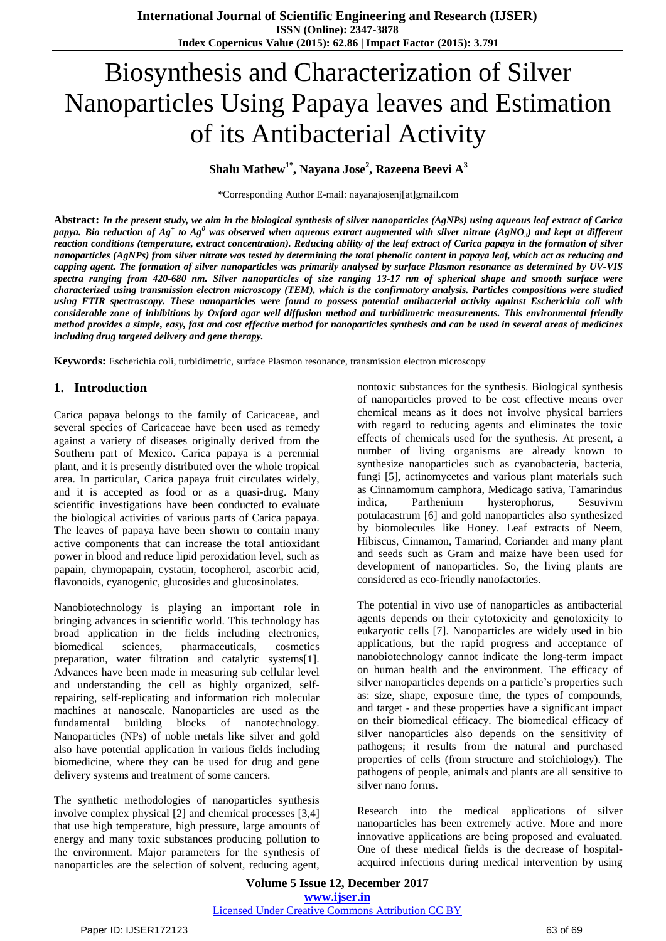# Biosynthesis and Characterization of Silver Nanoparticles Using Papaya leaves and Estimation of its Antibacterial Activity

# **Shalu Mathew1\* , Nayana Jose<sup>2</sup> , Razeena Beevi A 3**

\*Corresponding Author E-mail: nayanajosenj[at]gmail.com

Abstract: In the present study, we aim in the biological synthesis of silver nanoparticles (AgNPs) using aqueous leaf extract of Carica papya. Bio reduction of Ag $^{\ast}$  to Ag $^0$  was observed when aqueous extract augmented with silver nitrate (AgNO<sub>3</sub>) and kept at different reaction conditions (temperature, extract concentration). Reducing ability of the leaf extract of Carica papaya in the formation of silver nanoparticles (AgNPs) from silver nitrate was tested by determining the total phenolic content in papaya leaf, which act as reducing and capping agent. The formation of silver nanoparticles was primarily analysed by surface Plasmon resonance as determined by UV-VIS spectra ranging from 420-680 nm. Silver nanoparticles of size ranging 13-17 nm of spherical shape and smooth surface were characterized using transmission electron microscopy (TEM), which is the confirmatory analysis. Particles compositions were studied using FTIR spectroscopy. These nanoparticles were found to possess potential antibacterial activity against Escherichia coli with considerable zone of inhibitions by Oxford agar well diffusion method and turbidimetric measurements. This environmental friendly method provides a simple, easy, fast and cost effective method for nanoparticles synthesis and can be used in several areas of medicines *including drug targeted delivery and gene therapy.*

**Keywords:** Escherichia coli, turbidimetric, surface Plasmon resonance, transmission electron microscopy

# **1. Introduction**

Carica papaya belongs to the family of Caricaceae, and several species of Caricaceae have been used as remedy against a variety of diseases originally derived from the Southern part of Mexico. Carica papaya is a perennial plant, and it is presently distributed over the whole tropical area. In particular, Carica papaya fruit circulates widely, and it is accepted as food or as a quasi-drug. Many scientific investigations have been conducted to evaluate the biological activities of various parts of Carica papaya. The leaves of papaya have been shown to contain many active components that can increase the total antioxidant power in blood and reduce lipid peroxidation level, such as papain, chymopapain, cystatin, tocopherol, ascorbic acid, flavonoids, cyanogenic, glucosides and glucosinolates.

Nanobiotechnology is playing an important role in bringing advances in scientific world. This technology has broad application in the fields including electronics, biomedical sciences, pharmaceuticals, cosmetics preparation, water filtration and catalytic systems[1]. Advances have been made in measuring sub cellular level and understanding the cell as highly organized, selfrepairing, self-replicating and information rich molecular machines at nanoscale. Nanoparticles are used as the fundamental building blocks of nanotechnology. Nanoparticles (NPs) of noble metals like silver and gold also have potential application in various fields including biomedicine, where they can be used for drug and gene delivery systems and treatment of some cancers.

The synthetic methodologies of nanoparticles synthesis involve complex physical [2] and chemical processes [3,4] that use high temperature, high pressure, large amounts of energy and many toxic substances producing pollution to the environment. Major parameters for the synthesis of nanoparticles are the selection of solvent, reducing agent,

nontoxic substances for the synthesis. Biological synthesis of nanoparticles proved to be cost effective means over chemical means as it does not involve physical barriers with regard to reducing agents and eliminates the toxic effects of chemicals used for the synthesis. At present, a number of living organisms are already known to synthesize nanoparticles such as cyanobacteria, bacteria, fungi [5], actinomycetes and various plant materials such as Cinnamomum camphora, Medicago sativa, Tamarindus indica, Parthenium hysterophorus, Sesuvivm potulacastrum [6] and gold nanoparticles also synthesized by biomolecules like Honey. Leaf extracts of Neem, Hibiscus, Cinnamon, Tamarind, Coriander and many plant and seeds such as Gram and maize have been used for development of nanoparticles. So, the living plants are considered as eco-friendly nanofactories.

The potential in vivo use of nanoparticles as antibacterial agents depends on their cytotoxicity and genotoxicity to eukaryotic cells [7]. Nanoparticles are widely used in bio applications, but the rapid progress and acceptance of nanobiotechnology cannot indicate the long-term impact on human health and the environment. The efficacy of silver nanoparticles depends on a particle's properties such as: size, shape, exposure time, the types of compounds, and target - and these properties have a significant impact on their biomedical efficacy. The biomedical efficacy of silver nanoparticles also depends on the sensitivity of pathogens; it results from the natural and purchased properties of cells (from structure and stoichiology). The pathogens of people, animals and plants are all sensitive to silver nano forms.

Research into the medical applications of silver nanoparticles has been extremely active. More and more innovative applications are being proposed and evaluated. One of these medical fields is the decrease of hospitalacquired infections during medical intervention by using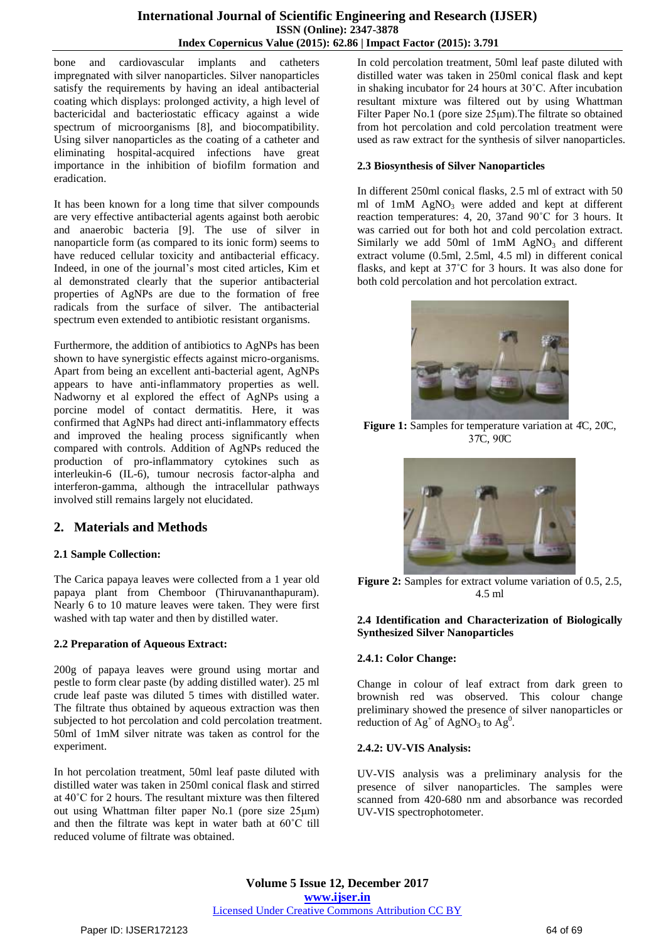bone and cardiovascular implants and catheters impregnated with silver nanoparticles. Silver nanoparticles satisfy the requirements by having an ideal antibacterial coating which displays: prolonged activity, a high level of bactericidal and bacteriostatic efficacy against a wide spectrum of microorganisms [8], and biocompatibility. Using silver nanoparticles as the coating of a catheter and eliminating hospital-acquired infections have great importance in the inhibition of biofilm formation and eradication.

It has been known for a long time that silver compounds are very effective antibacterial agents against both aerobic and anaerobic bacteria [9]. The use of silver in nanoparticle form (as compared to its ionic form) seems to have reduced cellular toxicity and antibacterial efficacy. Indeed, in one of the journal's most cited articles, Kim et al demonstrated clearly that the superior antibacterial properties of AgNPs are due to the formation of free radicals from the surface of silver. The antibacterial spectrum even extended to antibiotic resistant organisms.

Furthermore, the addition of antibiotics to AgNPs has been shown to have synergistic effects against micro-organisms. Apart from being an excellent anti-bacterial agent, AgNPs appears to have anti-inflammatory properties as well. Nadworny et al explored the effect of AgNPs using a porcine model of contact dermatitis. Here, it was confirmed that AgNPs had direct anti-inflammatory effects and improved the healing process significantly when compared with controls. Addition of AgNPs reduced the production of pro-inflammatory cytokines such as interleukin-6 (IL-6), tumour necrosis factor-alpha and interferon-gamma, although the intracellular pathways involved still remains largely not elucidated.

# **2. Materials and Methods**

## **2.1 Sample Collection:**

The Carica papaya leaves were collected from a 1 year old papaya plant from Chemboor (Thiruvananthapuram). Nearly 6 to 10 mature leaves were taken. They were first washed with tap water and then by distilled water.

## **2.2 Preparation of Aqueous Extract:**

200g of papaya leaves were ground using mortar and pestle to form clear paste (by adding distilled water). 25 ml crude leaf paste was diluted 5 times with distilled water. The filtrate thus obtained by aqueous extraction was then subjected to hot percolation and cold percolation treatment. 50ml of 1mM silver nitrate was taken as control for the experiment.

In hot percolation treatment, 50ml leaf paste diluted with distilled water was taken in 250ml conical flask and stirred at 40˚C for 2 hours. The resultant mixture was then filtered out using Whattman filter paper No.1 (pore size 25μm) and then the filtrate was kept in water bath at 60˚C till reduced volume of filtrate was obtained.

In cold percolation treatment, 50ml leaf paste diluted with distilled water was taken in 250ml conical flask and kept in shaking incubator for 24 hours at 30˚C. After incubation resultant mixture was filtered out by using Whattman Filter Paper No.1 (pore size 25μm).The filtrate so obtained from hot percolation and cold percolation treatment were used as raw extract for the synthesis of silver nanoparticles.

#### **2.3 Biosynthesis of Silver Nanoparticles**

In different 250ml conical flasks, 2.5 ml of extract with 50 ml of  $1mM$  AgNO<sub>3</sub> were added and kept at different reaction temperatures: 4, 20, 37and 90˚C for 3 hours. It was carried out for both hot and cold percolation extract. Similarly we add 50ml of  $1mM$  AgNO<sub>3</sub> and different extract volume (0.5ml, 2.5ml, 4.5 ml) in different conical flasks, and kept at 37˚C for 3 hours. It was also done for both cold percolation and hot percolation extract.



**Figure 1:** Samples for temperature variation at 4̊C, 20̊C, 37̊C, 90C̊



**Figure 2:** Samples for extract volume variation of 0.5, 2.5, 4.5 ml

#### **2.4 Identification and Characterization of Biologically Synthesized Silver Nanoparticles**

## **2.4.1: Color Change:**

Change in colour of leaf extract from dark green to brownish red was observed. This colour change preliminary showed the presence of silver nanoparticles or reduction of  $Ag^+$  of AgNO<sub>3</sub> to Ag<sup>0</sup>.

## **2.4.2: UV-VIS Analysis:**

UV-VIS analysis was a preliminary analysis for the presence of silver nanoparticles. The samples were scanned from 420-680 nm and absorbance was recorded UV-VIS spectrophotometer.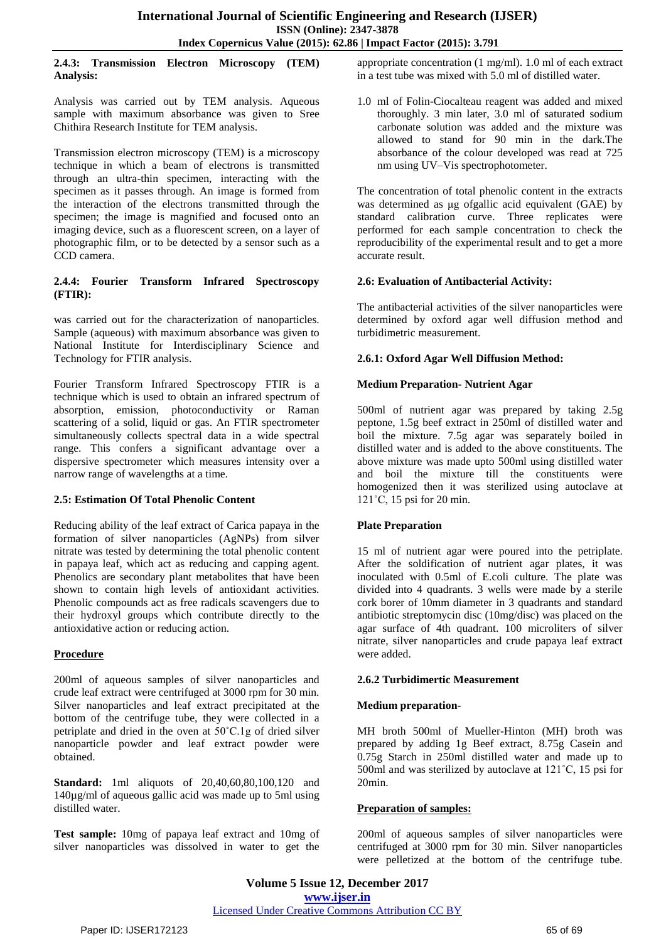#### **2.4.3: Transmission Electron Microscopy (TEM) Analysis:**

Analysis was carried out by TEM analysis. Aqueous sample with maximum absorbance was given to Sree Chithira Research Institute for TEM analysis.

Transmission electron microscopy (TEM) is a microscopy technique in which a beam of electrons is transmitted through an ultra-thin specimen, interacting with the specimen as it passes through. An image is formed from the interaction of the electrons transmitted through the specimen; the image is magnified and focused onto an imaging device, such as a fluorescent screen, on a layer of photographic film, or to be detected by a sensor such as a CCD camera.

#### **2.4.4: Fourier Transform Infrared Spectroscopy (FTIR):**

was carried out for the characterization of nanoparticles. Sample (aqueous) with maximum absorbance was given to National Institute for Interdisciplinary Science and Technology for FTIR analysis.

Fourier Transform Infrared Spectroscopy FTIR is a technique which is used to obtain an infrared spectrum of absorption, emission, photoconductivity or Raman scattering of a solid, liquid or gas. An FTIR spectrometer simultaneously collects spectral data in a wide spectral range. This confers a significant advantage over a dispersive spectrometer which measures intensity over a narrow range of wavelengths at a time.

## **2.5: Estimation Of Total Phenolic Content**

Reducing ability of the leaf extract of Carica papaya in the formation of silver nanoparticles (AgNPs) from silver nitrate was tested by determining the total phenolic content in papaya leaf, which act as reducing and capping agent. Phenolics are secondary plant metabolites that have been shown to contain high levels of antioxidant activities. Phenolic compounds act as free radicals scavengers due to their hydroxyl groups which contribute directly to the antioxidative action or reducing action.

# **Procedure**

200ml of aqueous samples of silver nanoparticles and crude leaf extract were centrifuged at 3000 rpm for 30 min. Silver nanoparticles and leaf extract precipitated at the bottom of the centrifuge tube, they were collected in a petriplate and dried in the oven at 50˚C.1g of dried silver nanoparticle powder and leaf extract powder were obtained.

**Standard:** 1ml aliquots of 20,40,60,80,100,120 and 140µg/ml of aqueous gallic acid was made up to 5ml using distilled water.

**Test sample:** 10mg of papaya leaf extract and 10mg of silver nanoparticles was dissolved in water to get the

appropriate concentration (1 mg/ml). 1.0 ml of each extract in a test tube was mixed with 5.0 ml of distilled water.

1.0 ml of Folin-Ciocalteau reagent was added and mixed thoroughly. 3 min later, 3.0 ml of saturated sodium carbonate solution was added and the mixture was allowed to stand for 90 min in the dark.The absorbance of the colour developed was read at 725 nm using UV–Vis spectrophotometer.

The concentration of total phenolic content in the extracts was determined as μg ofgallic acid equivalent (GAE) by standard calibration curve. Three replicates were performed for each sample concentration to check the reproducibility of the experimental result and to get a more accurate result.

# **2.6: Evaluation of Antibacterial Activity:**

The antibacterial activities of the silver nanoparticles were determined by oxford agar well diffusion method and turbidimetric measurement.

# **2.6.1: Oxford Agar Well Diffusion Method:**

# **Medium Preparation- Nutrient Agar**

500ml of nutrient agar was prepared by taking 2.5g peptone, 1.5g beef extract in 250ml of distilled water and boil the mixture. 7.5g agar was separately boiled in distilled water and is added to the above constituents. The above mixture was made upto 500ml using distilled water and boil the mixture till the constituents were homogenized then it was sterilized using autoclave at 121˚C, 15 psi for 20 min.

## **Plate Preparation**

15 ml of nutrient agar were poured into the petriplate. After the soldification of nutrient agar plates, it was inoculated with 0.5ml of E.coli culture. The plate was divided into 4 quadrants. 3 wells were made by a sterile cork borer of 10mm diameter in 3 quadrants and standard antibiotic streptomycin disc (10mg/disc) was placed on the agar surface of 4th quadrant. 100 microliters of silver nitrate, silver nanoparticles and crude papaya leaf extract were added.

## **2.6.2 Turbidimertic Measurement**

## **Medium preparation-**

MH broth 500ml of Mueller-Hinton (MH) broth was prepared by adding 1g Beef extract, 8.75g Casein and 0.75g Starch in 250ml distilled water and made up to 500ml and was sterilized by autoclave at  $121^{\circ}$ C, 15 psi for 20min.

## **Preparation of samples:**

200ml of aqueous samples of silver nanoparticles were centrifuged at 3000 rpm for 30 min. Silver nanoparticles were pelletized at the bottom of the centrifuge tube.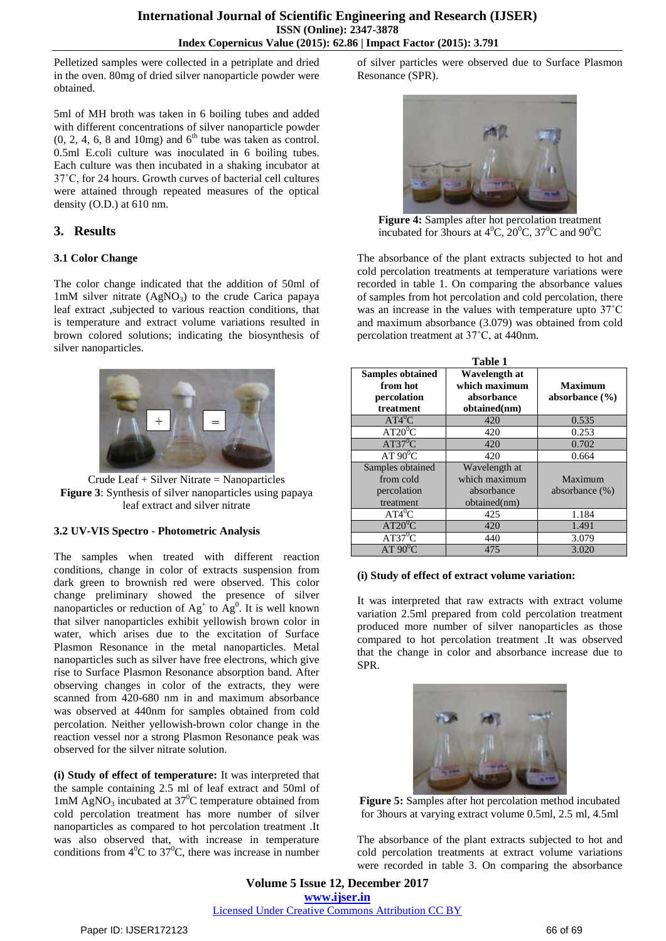Pelletized samples were collected in a petriplate and dried in the oven. 80mg of dried silver nanoparticle powder were obtained.

5ml of MH broth was taken in 6 boiling tubes and added with different concentrations of silver nanoparticle powder  $(0, 2, 4, 6, 8$  and 10mg) and  $6<sup>th</sup>$  tube was taken as control. 0.5ml E.coli culture was inoculated in 6 boiling tubes. Each culture was then incubated in a shaking incubator at 37˚C, for 24 hours. Growth curves of bacterial cell cultures were attained through repeated measures of the optical density (O.D.) at 610 nm.

# **3. Results**

#### **3.1 Color Change**

The color change indicated that the addition of 50ml of 1mM silver nitrate  $(AgNO<sub>3</sub>)$  to the crude Carica papaya leaf extract ,subjected to various reaction conditions, that is temperature and extract volume variations resulted in brown colored solutions; indicating the biosynthesis of silver nanoparticles.



Crude Leaf + Silver Nitrate = Nanoparticles **Figure 3**: Synthesis of silver nanoparticles using papaya leaf extract and silver nitrate

## **3.2 UV-VIS Spectro** - **Photometric Analysis**

The samples when treated with different reaction conditions, change in color of extracts suspension from dark green to brownish red were observed. This color change preliminary showed the presence of silver nanoparticles or reduction of  $\text{Ag}^+$  to  $\text{Ag}^0$ . It is well known that silver nanoparticles exhibit yellowish brown color in water, which arises due to the excitation of Surface Plasmon Resonance in the metal nanoparticles. Metal nanoparticles such as silver have free electrons, which give rise to Surface Plasmon Resonance absorption band. After observing changes in color of the extracts, they were scanned from 420-680 nm in and maximum absorbance was observed at 440nm for samples obtained from cold percolation. Neither yellowish-brown color change in the reaction vessel nor a strong Plasmon Resonance peak was observed for the silver nitrate solution.

**(i) Study of effect of temperature:** It was interpreted that the sample containing 2.5 ml of leaf extract and 50ml of 1mM  $AgNO_3$  incubated at 37<sup>o</sup>C temperature obtained from cold percolation treatment has more number of silver nanoparticles as compared to hot percolation treatment .It was also observed that, with increase in temperature conditions from  $4^{\circ}$ C to 37<sup>°</sup>C, there was increase in number

of silver particles were observed due to Surface Plasmon Resonance (SPR).



**Figure 4:** Samples after hot percolation treatment incubated for 3hours at  $4^{\circ}$ C,  $20^{\circ}$ C,  $37^{\circ}$ C and  $90^{\circ}$ C

The absorbance of the plant extracts subjected to hot and cold percolation treatments at temperature variations were recorded in table 1. On comparing the absorbance values of samples from hot percolation and cold percolation, there was an increase in the values with temperature upto 37˚C and maximum absorbance (3.079) was obtained from cold percolation treatment at 37˚C, at 440nm.

| Table 1                                                         |                                              |                                      |  |  |
|-----------------------------------------------------------------|----------------------------------------------|--------------------------------------|--|--|
| <b>Samples obtained</b><br>from hot<br>percolation<br>treatment | Wavelength at<br>which maximum<br>absorbance | <b>Maximum</b><br>absorbance $(\% )$ |  |  |
| $AT4^0C$                                                        | obtained(nm)<br>420                          | 0.535                                |  |  |
| $AT20^0C$                                                       | 420                                          | 0.253                                |  |  |
| $AT37^0C$                                                       | 420                                          | 0.702                                |  |  |
| $AT 90^0C$                                                      | 420                                          | 0.664                                |  |  |
| Samples obtained                                                | Wavelength at                                |                                      |  |  |
| from cold                                                       | which maximum                                | Maximum                              |  |  |
| percolation                                                     | absorbance                                   | absorbance $(\%)$                    |  |  |
| treatment                                                       | obtained(nm)                                 |                                      |  |  |
| $AT\overline{4}^0C$                                             | 425                                          | 1.184                                |  |  |
| $AT20^0C$                                                       | 420                                          | 1.491                                |  |  |
| $AT37^0C$                                                       | 440                                          | 3.079                                |  |  |
| $AT 90^0C$                                                      | 475                                          | 3.020                                |  |  |

#### **(i) Study of effect of extract volume variation:**

It was interpreted that raw extracts with extract volume variation 2.5ml prepared from cold percolation treatment produced more number of silver nanoparticles as those compared to hot percolation treatment .It was observed that the change in color and absorbance increase due to SPR.



**Figure 5:** Samples after hot percolation method incubated for 3hours at varying extract volume 0.5ml, 2.5 ml, 4.5ml

The absorbance of the plant extracts subjected to hot and cold percolation treatments at extract volume variations were recorded in table 3. On comparing the absorbance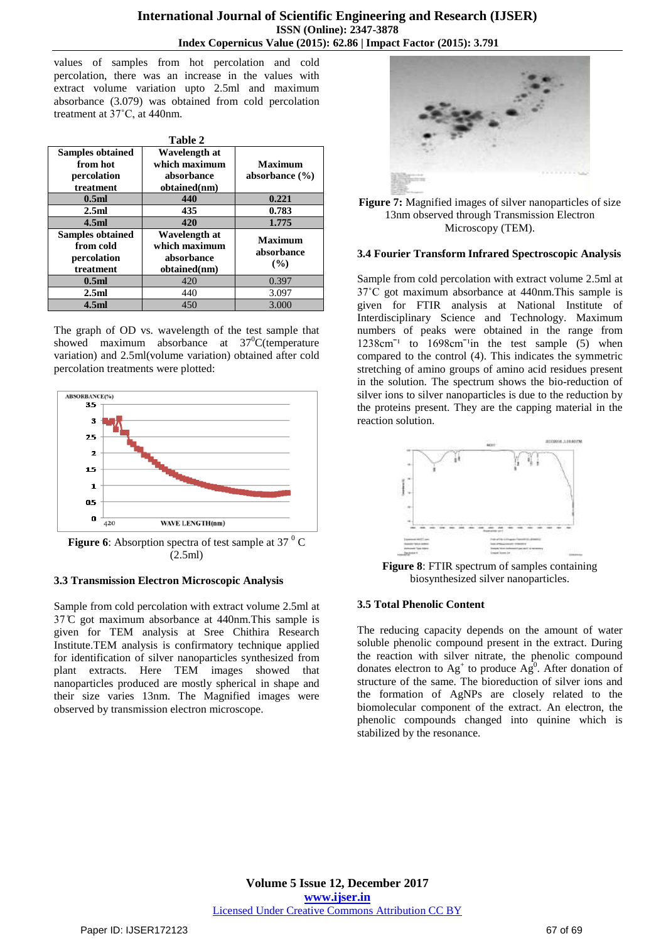values of samples from hot percolation and cold percolation, there was an increase in the values with extract volume variation upto 2.5ml and maximum absorbance (3.079) was obtained from cold percolation treatment at 37˚C, at 440nm.

| Table 2                 |               |                    |  |
|-------------------------|---------------|--------------------|--|
| <b>Samples obtained</b> | Wavelength at |                    |  |
| from hot                | which maximum | <b>Maximum</b>     |  |
| percolation             | absorbance    | absorbance $(\% )$ |  |
| treatment               | obtained(nm)  |                    |  |
| 0.5 <sub>ml</sub>       | 440           | 0.221              |  |
| 2.5ml                   | 435           | 0.783              |  |
| 4.5ml                   | 420           | 1.775              |  |
| <b>Samples obtained</b> | Wavelength at | <b>Maximum</b>     |  |
| from cold               | which maximum | absorbance         |  |
| percolation             | absorbance    |                    |  |
|                         |               | (%)                |  |
| treatment               | obtained(nm)  |                    |  |
| 0.5 <sub>ml</sub>       | 420           | 0.397              |  |
| 2.5ml                   | 440           | 3.097              |  |

The graph of OD vs. wavelength of the test sample that showed maximum absorbance at  $37^{\circ}$ C(temperature variation) and 2.5ml(volume variation) obtained after cold percolation treatments were plotted:



(2.5ml)

## **3.3 Transmission Electron Microscopic Analysis**

Sample from cold percolation with extract volume 2.5ml at  $37^{\circ}$ C got maximum absorbance at 440nm. This sample is given for TEM analysis at Sree Chithira Research Institute.TEM analysis is confirmatory technique applied for identification of silver nanoparticles synthesized from plant extracts. Here TEM images showed that nanoparticles produced are mostly spherical in shape and their size varies 13nm. The Magnified images were observed by transmission electron microscope.





#### **3.4 Fourier Transform Infrared Spectroscopic Analysis**

Sample from cold percolation with extract volume 2.5ml at 37˚C got maximum absorbance at 440nm.This sample is given for FTIR analysis at National Institute of Interdisciplinary Science and Technology. Maximum numbers of peaks were obtained in the range from  $1238 \text{cm}^{-1}$  to  $1698 \text{cm}^{-1}$  in the test sample (5) when compared to the control (4). This indicates the symmetric stretching of amino groups of amino acid residues present in the solution. The spectrum shows the bio-reduction of silver ions to silver nanoparticles is due to the reduction by the proteins present. They are the capping material in the reaction solution.



**Figure 8**: FTIR spectrum of samples containing biosynthesized silver nanoparticles.

## **3.5 Total Phenolic Content**

The reducing capacity depends on the amount of water soluble phenolic compound present in the extract. During the reaction with silver nitrate, the phenolic compound donates electron to  $Ag^+$  to produce  $Ag^0$ . After donation of structure of the same. The bioreduction of silver ions and the formation of AgNPs are closely related to the biomolecular component of the extract. An electron, the phenolic compounds changed into quinine which is stabilized by the resonance.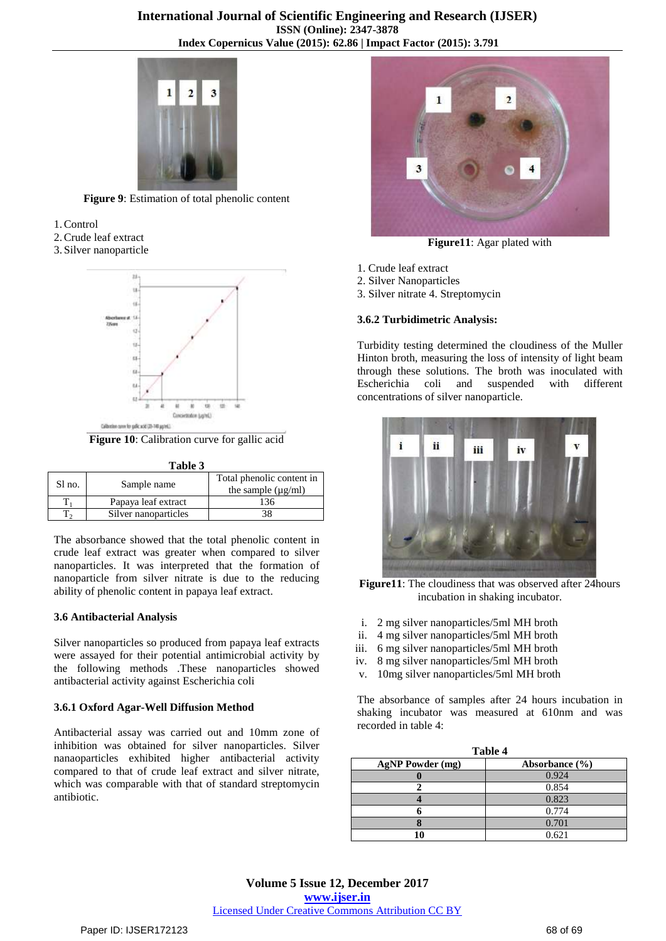

**Figure 9**: Estimation of total phenolic content

- 1.Control
- 2.Crude leaf extract
- 3. Silver nanoparticle



**Figure 10**: Calibration curve for gallic acid

| anı<br>к |  |
|----------|--|
|          |  |

| Sl no. | Sample name          | Total phenolic content in<br>the sample $(\mu g/ml)$ |
|--------|----------------------|------------------------------------------------------|
|        | Papaya leaf extract  | 136                                                  |
|        | Silver nanoparticles |                                                      |

The absorbance showed that the total phenolic content in crude leaf extract was greater when compared to silver nanoparticles. It was interpreted that the formation of nanoparticle from silver nitrate is due to the reducing ability of phenolic content in papaya leaf extract.

#### **3.6 Antibacterial Analysis**

Silver nanoparticles so produced from papaya leaf extracts were assayed for their potential antimicrobial activity by the following methods .These nanoparticles showed antibacterial activity against Escherichia coli

#### **3.6.1 Oxford Agar-Well Diffusion Method**

Antibacterial assay was carried out and 10mm zone of inhibition was obtained for silver nanoparticles. Silver nanaoparticles exhibited higher antibacterial activity compared to that of crude leaf extract and silver nitrate, which was comparable with that of standard streptomycin antibiotic.



**Figure11**: Agar plated with

- 1. Crude leaf extract
- 2. Silver Nanoparticles
- 3. Silver nitrate 4. Streptomycin

#### **3.6.2 Turbidimetric Analysis:**

Turbidity testing determined the cloudiness of the Muller Hinton broth, measuring the loss of intensity of light beam through these solutions. The broth was inoculated with Escherichia coli and suspended with different concentrations of silver nanoparticle.



**Figure11**: The cloudiness that was observed after 24hours incubation in shaking incubator.

- i. 2 mg silver nanoparticles/5ml MH broth
- ii. 4 mg silver nanoparticles/5ml MH broth
- iii. 6 mg silver nanoparticles/5ml MH broth
- iv. 8 mg silver nanoparticles/5ml MH broth
- v. 10mg silver nanoparticles/5ml MH broth

The absorbance of samples after 24 hours incubation in shaking incubator was measured at 610nm and was recorded in table 4:

| Table 4                 |                    |  |
|-------------------------|--------------------|--|
| <b>AgNP</b> Powder (mg) | Absorbance $(\% )$ |  |
|                         | 0.924              |  |
|                         | 0.854              |  |
|                         | 0.823              |  |
|                         | 0.774              |  |
|                         | 0.701              |  |
| 10                      | 0.621              |  |